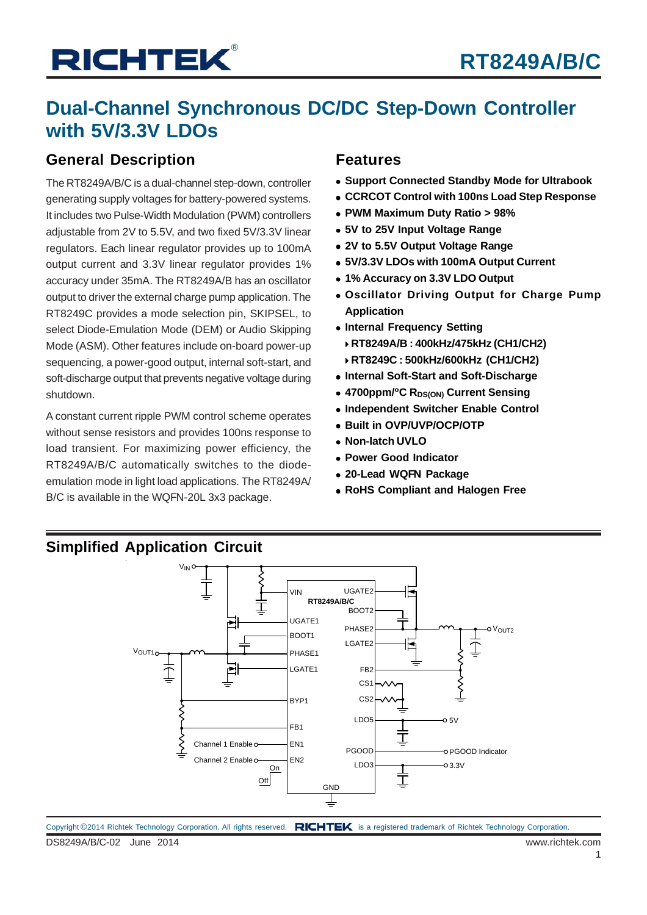### **Dual-Channel Synchronous DC/DC Step-Down Controller with 5V/3.3V LDOs**

### **General Description**

The RT8249A/B/C is a dual-channel step-down, controller generating supply voltages for battery-powered systems. It includes two Pulse-Width Modulation (PWM) controllers adjustable from 2V to 5.5V, and two fixed 5V/3.3V linear regulators. Each linear regulator provides up to 100mA output current and 3.3V linear regulator provides 1% accuracy under 35mA. The RT8249A/B has an oscillator output to driver the external charge pump application. The RT8249C provides a mode selection pin, SKIPSEL, to select Diode-Emulation Mode (DEM) or Audio Skipping Mode (ASM). Other features include on-board power-up sequencing, a power-good output, internal soft-start, and soft-discharge output that prevents negative voltage during shutdown.

A constant current ripple PWM control scheme operates without sense resistors and provides 100ns response to load transient. For maximizing power efficiency, the RT8249A/B/C automatically switches to the diodeemulation mode in light load applications. The RT8249A/ B/C is available in the WQFN-20L 3x3 package.

### **Features**

- **Support Connected Standby Mode for Ultrabook**
- **CCRCOT Control with 100ns Load Step Response**
- **PWM Maximum Duty Ratio > 98%**
- **5V to 25V Input Voltage Range**
- **2V to 5.5V Output Voltage Range**
- **5V/3.3V LDOs with 100mA Output Current**
- **1% Accuracy on 3.3V LDO Output**
- **Oscillator Driving Output for Charge Pump Application**
- **Internal Frequency Setting**
	- **RT8249A/B : 400kHz/475kHz (CH1/CH2)**
	- **RT8249C : 500kHz/600kHz (CH1/CH2)**
- **Internal Soft-Start and Soft-Discharge**
- **4700ppm/°C RDS(ON) Current Sensing**
- **Independent Switcher Enable Control**
- **Built in OVP/UVP/OCP/OTP**
- **Non-latch UVLO**
- **Power Good Indicator**
- **20-Lead WQFN Package**
- **RoHS Compliant and Halogen Free**



### **Simplified Application Circuit**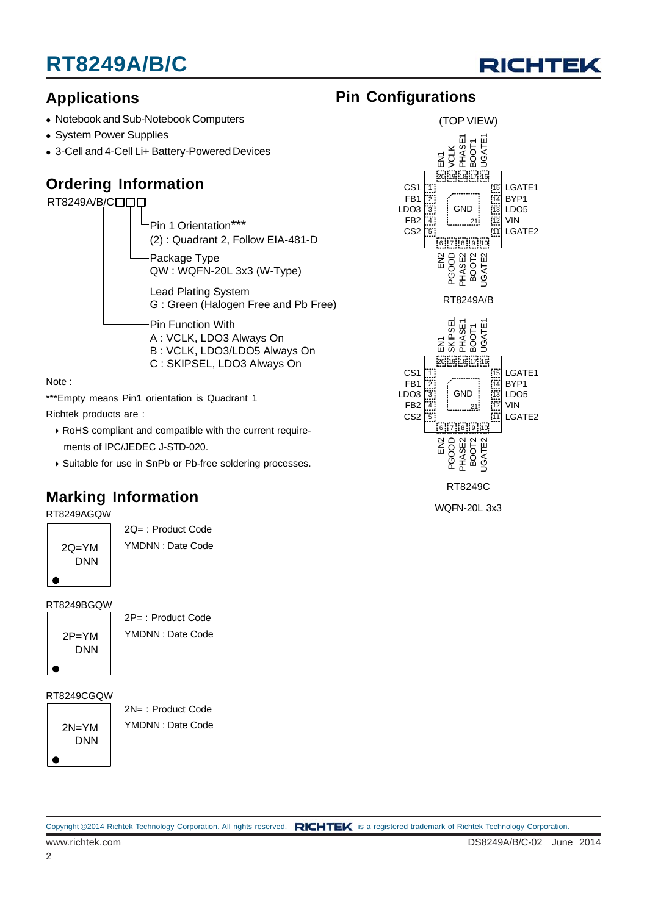

### **Applications**

- Notebook and Sub-Notebook Computers
- System Power Supplies
- 3-Cell and 4-Cell Li+ Battery-Powered Devices

### **Ordering Information**

RT8249A/B/COOO

Package Type QW : WQFN-20L 3x3 (W-Type) Lead Plating System G : Green (Halogen Free and Pb Free) Pin Function With A : VCLK, LDO3 Always On B : VCLK, LDO3/LDO5 Always On C : SKIPSEL, LDO3 Always On Pin 1 Orientation\*\*\* (2) : Quadrant 2, Follow EIA-481-D

Note :

\*\*\*Empty means Pin1 orientation is Quadrant 1

Richtek products are :

- RoHS compliant and compatible with the current require ments of IPC/JEDEC J-STD-020.
- Suitable for use in SnPb or Pb-free soldering processes.

### **Marking Information**

WQFN-20L 3x3 RT8249AGQW

2Q=YM DNN 2Q= : Product Code YMDNN : Date Code

RT8249BGQW

2P=YM DNN

2P= : Product Code YMDNN : Date Code

RT8249CGQW

2N=YM DNN

2N= : Product Code YMDNN : Date Code



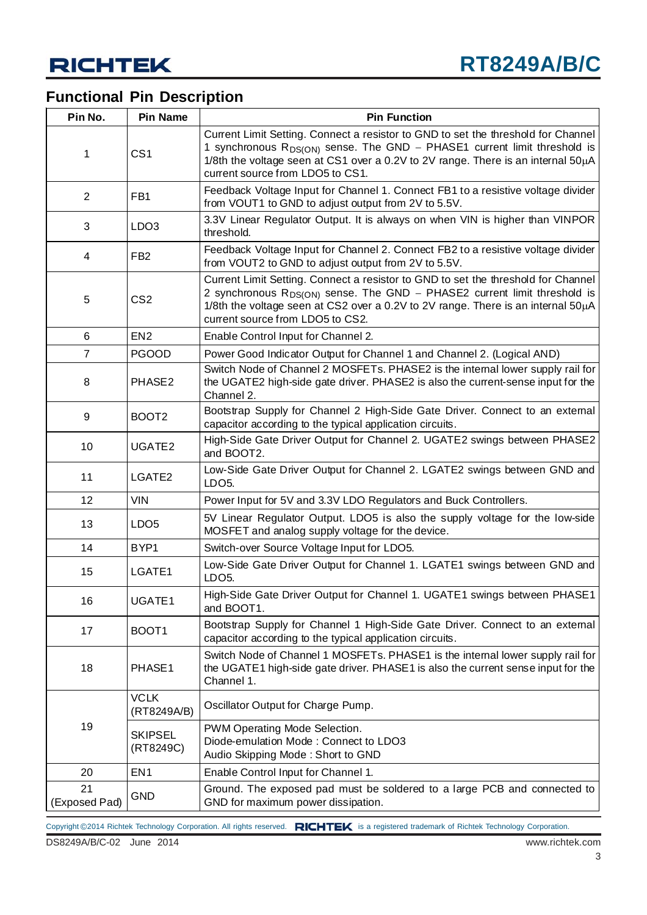### **Functional Pin Description**

| Pin No.             | <b>Pin Name</b>             | <b>Pin Function</b>                                                                                                                                                                                                                                                                                    |
|---------------------|-----------------------------|--------------------------------------------------------------------------------------------------------------------------------------------------------------------------------------------------------------------------------------------------------------------------------------------------------|
| 1                   | CS <sub>1</sub>             | Current Limit Setting. Connect a resistor to GND to set the threshold for Channel<br>1 synchronous R <sub>DS(ON)</sub> sense. The GND - PHASE1 current limit threshold is<br>1/8th the voltage seen at CS1 over a 0.2V to 2V range. There is an internal $50\mu A$<br>current source from LDO5 to CS1. |
| $\overline{2}$      | FB <sub>1</sub>             | Feedback Voltage Input for Channel 1. Connect FB1 to a resistive voltage divider<br>from VOUT1 to GND to adjust output from 2V to 5.5V.                                                                                                                                                                |
| 3                   | LDO <sub>3</sub>            | 3.3V Linear Regulator Output. It is always on when VIN is higher than VINPOR<br>threshold.                                                                                                                                                                                                             |
| 4                   | FB <sub>2</sub>             | Feedback Voltage Input for Channel 2. Connect FB2 to a resistive voltage divider<br>from VOUT2 to GND to adjust output from 2V to 5.5V.                                                                                                                                                                |
| 5                   | CS <sub>2</sub>             | Current Limit Setting. Connect a resistor to GND to set the threshold for Channel<br>2 synchronous R <sub>DS(ON)</sub> sense. The GND - PHASE2 current limit threshold is<br>1/8th the voltage seen at CS2 over a 0.2V to 2V range. There is an internal $50\mu A$<br>current source from LDO5 to CS2. |
| 6                   | EN <sub>2</sub>             | Enable Control Input for Channel 2.                                                                                                                                                                                                                                                                    |
| $\overline{7}$      | <b>PGOOD</b>                | Power Good Indicator Output for Channel 1 and Channel 2. (Logical AND)                                                                                                                                                                                                                                 |
| 8                   | PHASE2                      | Switch Node of Channel 2 MOSFETs. PHASE2 is the internal lower supply rail for<br>the UGATE2 high-side gate driver. PHASE2 is also the current-sense input for the<br>Channel 2.                                                                                                                       |
| 9                   | BOOT <sub>2</sub>           | Bootstrap Supply for Channel 2 High-Side Gate Driver. Connect to an external<br>capacitor according to the typical application circuits.                                                                                                                                                               |
| 10                  | UGATE2                      | High-Side Gate Driver Output for Channel 2. UGATE2 swings between PHASE2<br>and BOOT2.                                                                                                                                                                                                                 |
| 11                  | LGATE2                      | Low-Side Gate Driver Output for Channel 2. LGATE2 swings between GND and<br>LDO5.                                                                                                                                                                                                                      |
| 12                  | <b>VIN</b>                  | Power Input for 5V and 3.3V LDO Regulators and Buck Controllers.                                                                                                                                                                                                                                       |
| 13                  | LDO <sub>5</sub>            | 5V Linear Regulator Output. LDO5 is also the supply voltage for the low-side<br>MOSFET and analog supply voltage for the device.                                                                                                                                                                       |
| 14                  | BYP1                        | Switch-over Source Voltage Input for LDO5.                                                                                                                                                                                                                                                             |
| 15                  | LGATE1                      | Low-Side Gate Driver Output for Channel 1. LGATE1 swings between GND and<br>LDO5.                                                                                                                                                                                                                      |
| 16                  | UGATE1                      | High-Side Gate Driver Output for Channel 1. UGATE1 swings between PHASE1<br>and BOOT1.                                                                                                                                                                                                                 |
| 17                  | BOOT1                       | Bootstrap Supply for Channel 1 High-Side Gate Driver. Connect to an external<br>capacitor according to the typical application circuits.                                                                                                                                                               |
| 18                  | PHASE1                      | Switch Node of Channel 1 MOSFETs. PHASE1 is the internal lower supply rail for<br>the UGATE1 high-side gate driver. PHASE1 is also the current sense input for the<br>Channel 1.                                                                                                                       |
|                     | <b>VCLK</b><br>(RT8249A/B)  | Oscillator Output for Charge Pump.                                                                                                                                                                                                                                                                     |
| 19                  | <b>SKIPSEL</b><br>(RT8249C) | PWM Operating Mode Selection.<br>Diode-emulation Mode: Connect to LDO3<br>Audio Skipping Mode: Short to GND                                                                                                                                                                                            |
| 20                  | EN <sub>1</sub>             | Enable Control Input for Channel 1.                                                                                                                                                                                                                                                                    |
| 21<br>(Exposed Pad) | <b>GND</b>                  | Ground. The exposed pad must be soldered to a large PCB and connected to<br>GND for maximum power dissipation.                                                                                                                                                                                         |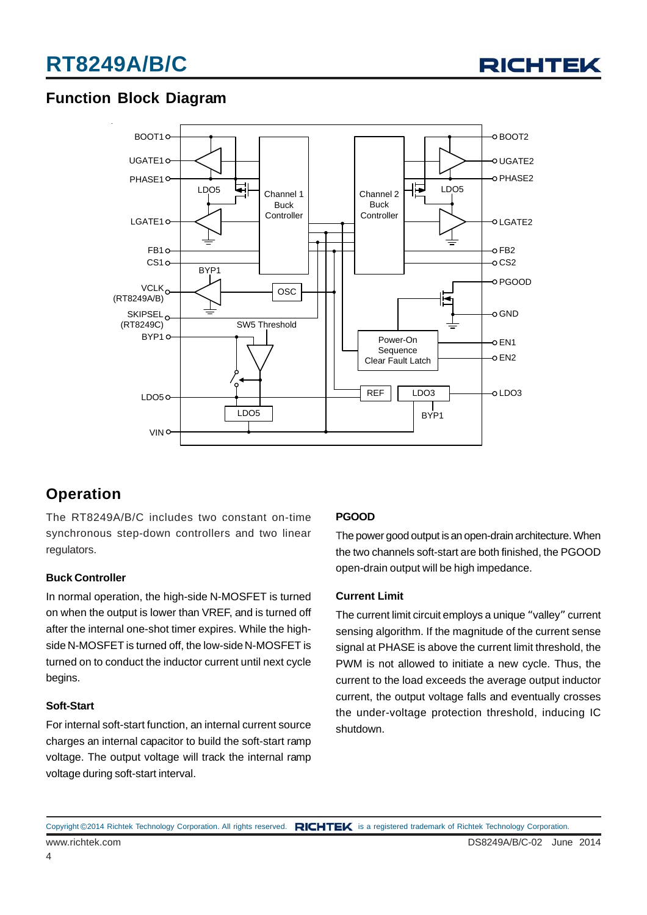

### **Function Block Diagram**



### **Operation**

The RT8249A/B/C includes two constant on-time synchronous step-down controllers and two linear regulators.

### **Buck Controller**

In normal operation, the high-side N-MOSFET is turned on when the output is lower than VREF, and is turned off after the internal one-shot timer expires. While the highside N-MOSFET is turned off, the low-side N-MOSFET is turned on to conduct the inductor current until next cycle begins.

#### **Soft-Start**

For internal soft-start function, an internal current source charges an internal capacitor to build the soft-start ramp voltage. The output voltage will track the internal ramp voltage during soft-start interval.

### **PGOOD**

The power good output is an open-drain architecture. When the two channels soft-start are both finished, the PGOOD open-drain output will be high impedance.

#### **Current Limit**

The current limit circuit employs a unique "valley" current sensing algorithm. If the magnitude of the current sense signal at PHASE is above the current limit threshold, the PWM is not allowed to initiate a new cycle. Thus, the current to the load exceeds the average output inductor current, the output voltage falls and eventually crosses the under-voltage protection threshold, inducing IC shutdown.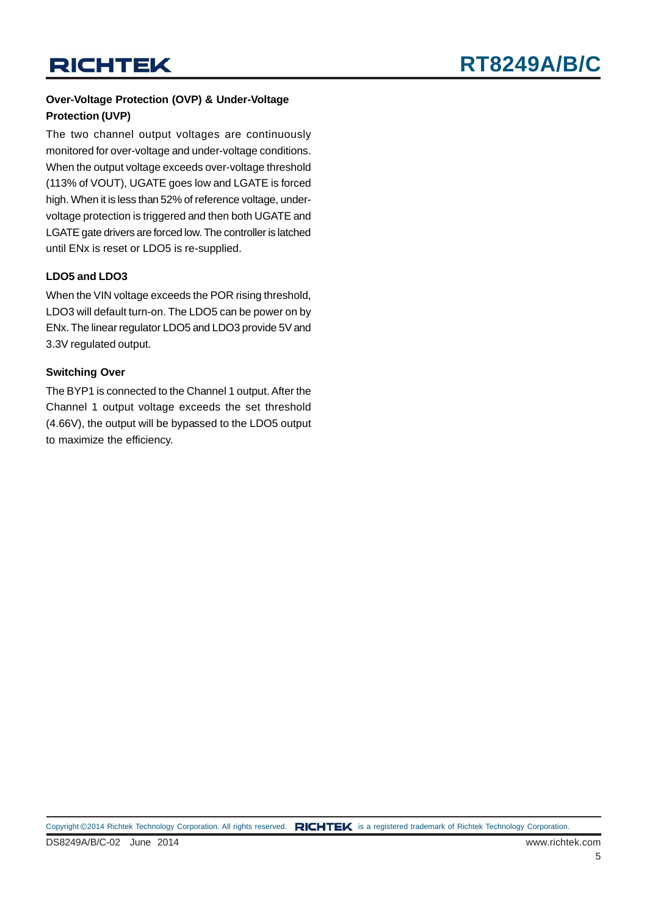### **Over-Voltage Protection (OVP) & Under-Voltage Protection (UVP)**

The two channel output voltages are continuously monitored for over-voltage and under-voltage conditions. When the output voltage exceeds over-voltage threshold (113% of VOUT), UGATE goes low and LGATE is forced high. When it is less than 52% of reference voltage, undervoltage protection is triggered and then both UGATE and LGATE gate drivers are forced low. The controller is latched until ENx is reset or LDO5 is re-supplied.

### **LDO5 and LDO3**

When the VIN voltage exceeds the POR rising threshold, LDO3 will default turn-on. The LDO5 can be power on by ENx. The linear regulator LDO5 and LDO3 provide 5V and 3.3V regulated output.

### **Switching Over**

The BYP1 is connected to the Channel 1 output. After the Channel 1 output voltage exceeds the set threshold (4.66V), the output will be bypassed to the LDO5 output to maximize the efficiency.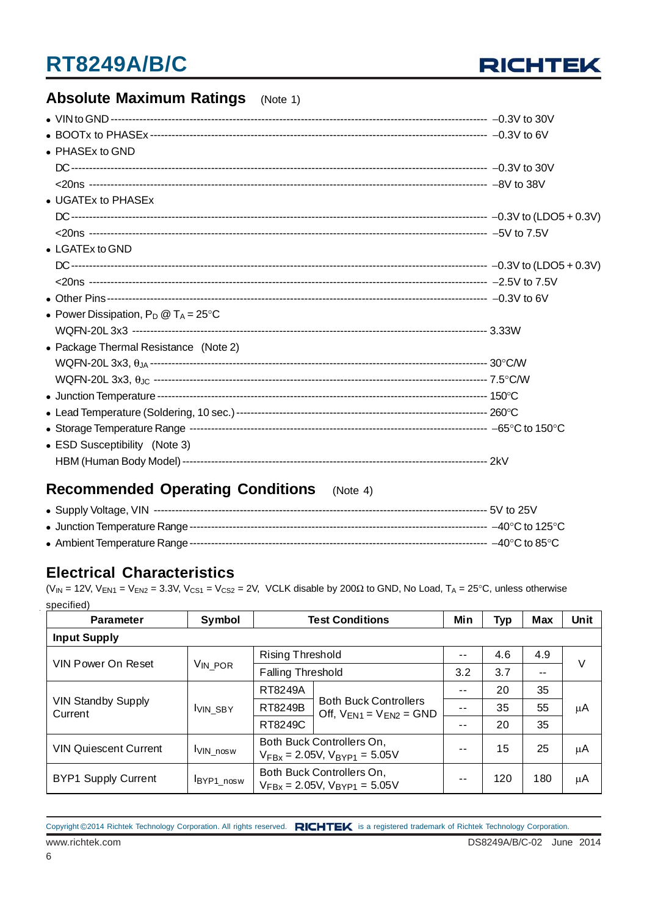

### **Absolute Maximum Ratings** (Note 1)

| $\bullet$ PHASEx to GND                        |  |
|------------------------------------------------|--|
|                                                |  |
|                                                |  |
| • UGATEx to PHASEx                             |  |
|                                                |  |
|                                                |  |
| $\bullet$ LGATEx to GND                        |  |
|                                                |  |
|                                                |  |
|                                                |  |
| • Power Dissipation, $P_D @ T_A = 25^{\circ}C$ |  |
|                                                |  |
| • Package Thermal Resistance (Note 2)          |  |
|                                                |  |
|                                                |  |
|                                                |  |
|                                                |  |
|                                                |  |
| • ESD Susceptibility (Note 3)                  |  |
|                                                |  |
|                                                |  |

### **Recommended Operating Conditions** (Note 4)

### **Electrical Characteristics**

(V<sub>IN</sub> = 12V, V<sub>EN1</sub> = V<sub>EN2</sub> = 3.3V, V<sub>CS1</sub> = V<sub>CS2</sub> = 2V, VCLK disable by 200 $\Omega$  to GND, No Load, T<sub>A</sub> = 25°C, unless otherwise specified)

| <b>Parameter</b>                     | Symbol              | <b>Test Conditions</b>                                              |                                                                | Min  | <b>Typ</b> | <b>Max</b> | <b>Unit</b> |
|--------------------------------------|---------------------|---------------------------------------------------------------------|----------------------------------------------------------------|------|------------|------------|-------------|
| <b>Input Supply</b>                  |                     |                                                                     |                                                                |      |            |            |             |
| VIN Power On Reset                   |                     | <b>Rising Threshold</b>                                             |                                                                |      | 4.6        | 4.9        | V           |
|                                      | V <sub>IN</sub> POR | <b>Falling Threshold</b>                                            |                                                                | 3.2  | 3.7        | --         |             |
|                                      | <b>IVIN_SBY</b>     | RT8249A                                                             | <b>Both Buck Controllers</b><br>Off, $V_{EN1} = V_{EN2} = GND$ | $ -$ | 20         | 35         | μA          |
| <b>VIN Standby Supply</b><br>Current |                     | RT8249B                                                             |                                                                |      | 35         | 55         |             |
|                                      |                     | RT8249C                                                             |                                                                | $ -$ | 20         | 35         |             |
| <b>VIN Quiescent Current</b>         | VIN_nosw            | Both Buck Controllers On,<br>$V_{FBx} = 2.05V$ , $V_{BYP1} = 5.05V$ |                                                                |      | 15         | 25         | μA          |
| <b>BYP1 Supply Current</b>           | IBYP1_nosw          | Both Buck Controllers On,<br>$V_{FBx} = 2.05V$ , $V_{BYP1} = 5.05V$ |                                                                |      | 120        | 180        | μA          |

www.richtek.com DS8249A/B/C-02 June 2014 Copyright ©2014 Richtek Technology Corporation. All rights reserved. RICHTEK is a registered trademark of Richtek Technology Corporation.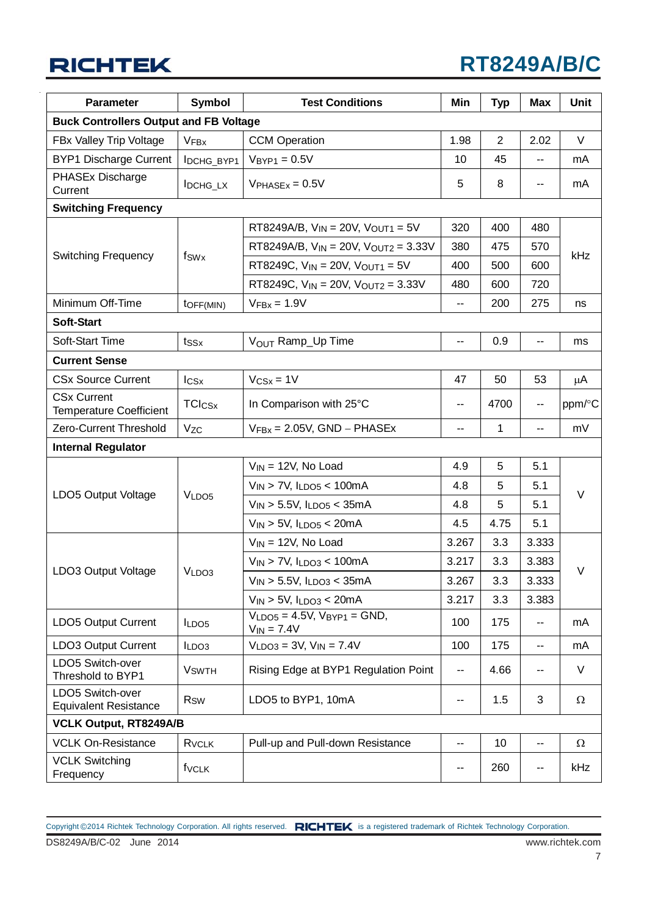## **RT8249A/B/C**

| <b>Parameter</b>                                     | <b>Symbol</b>             | <b>Test Conditions</b>                                    | Min          | <b>Typ</b>     | <b>Max</b>               | Unit    |  |
|------------------------------------------------------|---------------------------|-----------------------------------------------------------|--------------|----------------|--------------------------|---------|--|
| <b>Buck Controllers Output and FB Voltage</b>        |                           |                                                           |              |                |                          |         |  |
| FBx Valley Trip Voltage                              | <b>VFBx</b>               | <b>CCM Operation</b>                                      | 1.98         | $\overline{2}$ | 2.02                     | V       |  |
| <b>BYP1 Discharge Current</b>                        | IDCHG_BYP1                | $VBYP1 = 0.5V$                                            | 10           | 45             | --                       | mA      |  |
| PHASEx Discharge<br>Current                          | IDCHG_LX                  | $V_{PHASEX} = 0.5V$                                       | 5            | 8              | --                       | mA      |  |
| <b>Switching Frequency</b>                           |                           |                                                           |              |                |                          |         |  |
|                                                      |                           | RT8249A/B, $V_{IN} = 20V$ , $V_{OUT1} = 5V$               | 320          | 400            | 480                      |         |  |
| <b>Switching Frequency</b>                           |                           | RT8249A/B, $V_{IN} = 20V$ , $V_{OUT2} = 3.33V$            | 380          | 475            | 570                      | kHz     |  |
|                                                      | f <sub>SWx</sub>          | RT8249C, $V_{IN} = 20V$ , $V_{OUT1} = 5V$                 | 400          | 500            | 600                      |         |  |
|                                                      |                           | RT8249C, $V_{IN} = 20V$ , $V_{OUT2} = 3.33V$              | 480          | 600            | 720                      |         |  |
| Minimum Off-Time                                     | toFF(MIN)                 | $V$ FBx = 1.9 $V$                                         | $\mathbf{u}$ | 200            | 275                      | ns      |  |
| <b>Soft-Start</b>                                    |                           |                                                           |              |                |                          |         |  |
| Soft-Start Time                                      | tssx                      | V <sub>OUT</sub> Ramp_Up Time                             | --           | 0.9            | $\overline{\phantom{a}}$ | ms      |  |
| <b>Current Sense</b>                                 |                           |                                                           |              |                |                          |         |  |
| <b>CSx Source Current</b>                            | lcs <sub>x</sub>          | $V_{CSx} = 1V$                                            | 47           | 50             | 53                       | $\mu$ A |  |
| <b>CSx Current</b><br><b>Temperature Coefficient</b> | <b>TCI<sub>CSx</sub></b>  | In Comparison with 25°C                                   | --           | 4700           | --                       | ppm/°C  |  |
| Zero-Current Threshold                               | <b>Vzc</b>                | $V_{\text{FBX}}$ = 2.05V, GND – PHASEx                    |              | 1              | --                       | mV      |  |
| <b>Internal Regulator</b>                            |                           |                                                           |              |                |                          |         |  |
|                                                      |                           | $V_{IN}$ = 12V, No Load                                   | 4.9          | 5              | 5.1                      |         |  |
| LDO5 Output Voltage                                  |                           | $V_{IN}$ > 7V, $I_{LDO5}$ < 100mA                         | 4.8          | 5              | 5.1                      | V       |  |
|                                                      | VLDO <sub>5</sub>         | $V_{IN}$ > 5.5V, $I_{LDOS}$ < 35mA                        | 4.8          | 5              | 5.1                      |         |  |
|                                                      |                           | $V_{IN}$ > 5V, $I_{LDOS}$ < 20mA                          | 4.5          | 4.75           | 5.1                      |         |  |
|                                                      |                           | $V_{IN}$ = 12V, No Load                                   | 3.267        | 3.3            | 3.333                    |         |  |
| LDO3 Output Voltage                                  |                           | $V_{IN}$ > 7V, $I_{LDO3}$ < 100mA                         | 3.217        | 3.3            | 3.383                    | V       |  |
|                                                      | VLDO <sub>3</sub>         | $V_{IN}$ > 5.5V, $I_{LDO3}$ < 35mA                        | 3.267        | 3.3            | 3.333                    |         |  |
|                                                      |                           | $V_{IN}$ > 5V, $I_{LDO3}$ < 20mA                          | 3.217        | 3.3            | 3.383                    |         |  |
| LDO5 Output Current                                  | $I_{LDO5}$                | $V_{LDO5} = 4.5V$ , $V_{BYP1} = GND$ ,<br>$V_{IN} = 7.4V$ | 100          | 175            | --                       | mA      |  |
| LDO3 Output Current                                  | ILDO3                     | $VLDO3 = 3V$ , $VIN = 7.4V$                               | 100          | 175            | --                       | mA      |  |
| LDO5 Switch-over<br>Threshold to BYP1                | <b>V</b> <sub>SW</sub> TH | Rising Edge at BYP1 Regulation Point                      | ۰.           | 4.66           | --                       | V       |  |
| LDO5 Switch-over<br><b>Equivalent Resistance</b>     | <b>R</b> sw               | LDO5 to BYP1, 10mA                                        | --           | 1.5            | 3                        | Ω       |  |
| <b>VCLK Output, RT8249A/B</b>                        |                           |                                                           |              |                |                          |         |  |
| <b>VCLK On-Resistance</b>                            | R <sub>VCLK</sub>         | Pull-up and Pull-down Resistance                          | --           | 10             | --                       | Ω       |  |
| <b>VCLK Switching</b><br>Frequency                   | fvclk                     |                                                           | --           | 260            | --                       | kHz     |  |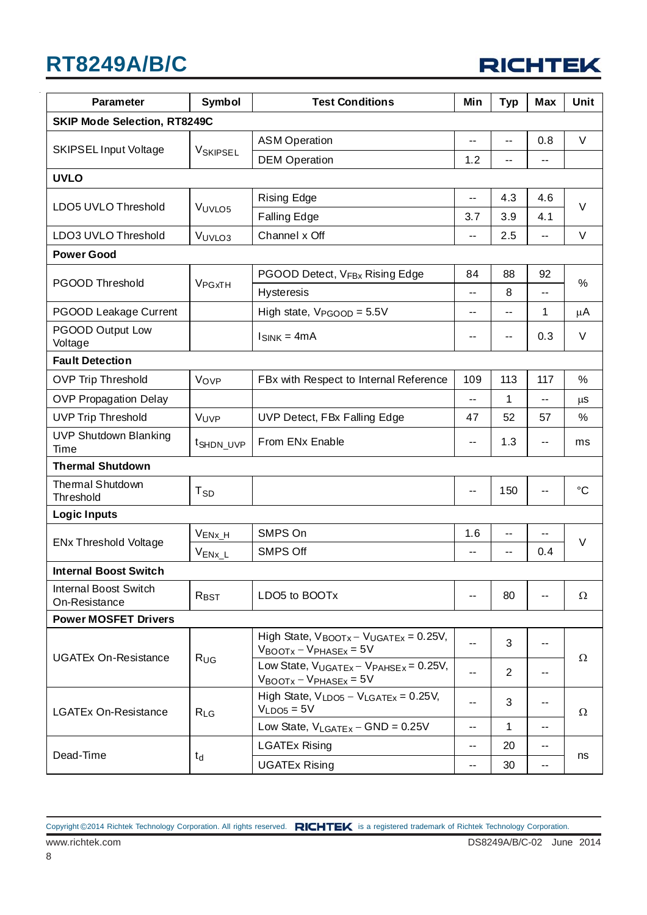

| <b>Parameter</b>                       | <b>Symbol</b>         | <b>Test Conditions</b>                                                                                      | Min            | <b>Typ</b>     | <b>Max</b>               | Unit            |  |
|----------------------------------------|-----------------------|-------------------------------------------------------------------------------------------------------------|----------------|----------------|--------------------------|-----------------|--|
| <b>SKIP Mode Selection, RT8249C</b>    |                       |                                                                                                             |                |                |                          |                 |  |
|                                        |                       | <b>ASM Operation</b>                                                                                        | $\overline{a}$ | $-$            | 0.8                      | V               |  |
| <b>SKIPSEL Input Voltage</b>           | VSKIPSEL              | <b>DEM Operation</b>                                                                                        | 1.2            | $-$            | $-$                      |                 |  |
| <b>UVLO</b>                            |                       |                                                                                                             |                |                |                          |                 |  |
|                                        |                       | <b>Rising Edge</b>                                                                                          | --             | 4.3            | 4.6                      |                 |  |
| LDO5 UVLO Threshold                    | VUVLO <sub>5</sub>    | <b>Falling Edge</b>                                                                                         | 3.7            | 3.9            | 4.1                      | $\vee$          |  |
| LDO3 UVLO Threshold                    | VUVLO3                | Channel x Off                                                                                               | --             | 2.5            | $\overline{\phantom{a}}$ | V               |  |
| <b>Power Good</b>                      |                       |                                                                                                             |                |                |                          |                 |  |
|                                        |                       | PGOOD Detect, V <sub>FBx</sub> Rising Edge                                                                  | 84             | 88             | 92                       |                 |  |
| <b>PGOOD Threshold</b>                 | VPGxTH                | <b>Hysteresis</b>                                                                                           | --             | 8              | $\overline{\phantom{a}}$ | $\%$            |  |
| PGOOD Leakage Current                  |                       | High state, V <sub>PGOOD</sub> = 5.5V                                                                       | --             | --             | 1                        | μA              |  |
| PGOOD Output Low<br>Voltage            |                       | $I_{SINK} = 4mA$                                                                                            | --             | $-$            | 0.3                      | V               |  |
| <b>Fault Detection</b>                 |                       |                                                                                                             |                |                |                          |                 |  |
| <b>OVP Trip Threshold</b>              | Vove                  | FBx with Respect to Internal Reference                                                                      | 109            | 113            | 117                      | $\%$            |  |
| <b>OVP Propagation Delay</b>           |                       |                                                                                                             | $-$            | 1              | н.                       | μS              |  |
| <b>UVP Trip Threshold</b>              | VUVP                  | UVP Detect, FBx Falling Edge                                                                                | 47             | 52             | 57                       | %               |  |
| <b>UVP Shutdown Blanking</b><br>Time   | t <sub>SHDN_UVP</sub> | From ENx Enable                                                                                             | --             | 1.3            | $-$                      | ms              |  |
| <b>Thermal Shutdown</b>                |                       |                                                                                                             |                |                |                          |                 |  |
| Thermal Shutdown<br>Threshold          | $T_{SD}$              |                                                                                                             | --             | 150            | $-$                      | $\rm ^{\circ}C$ |  |
| <b>Logic Inputs</b>                    |                       |                                                                                                             |                |                |                          |                 |  |
|                                        | VEN <sub>x_H</sub>    | SMPS On                                                                                                     | 1.6            | $-$            | $\overline{a}$           | V               |  |
| <b>ENx Threshold Voltage</b>           | $V_{ENX_L}$           | <b>SMPS Off</b>                                                                                             | --             | --             | 0.4                      |                 |  |
| <b>Internal Boost Switch</b>           |                       |                                                                                                             |                |                |                          |                 |  |
| Internal Boost Switch<br>On-Resistance | R <sub>BST</sub>      | LDO5 to BOOTx                                                                                               | --             | 80             |                          | $\Omega$        |  |
| <b>Power MOSFET Drivers</b>            |                       |                                                                                                             |                |                |                          |                 |  |
| <b>UGATEx On-Resistance</b>            | $R_{UG}$              | High State, $V_{\text{BOOTx}} - V_{\text{UGATEX}} = 0.25V$ ,<br>$V_{\text{BOOTx}} - V_{\text{PHASEx}} = 5V$ | --             | 3              |                          |                 |  |
|                                        |                       | Low State, $V_{UGATEX} - V_{PAHSEX} = 0.25V$ ,<br>$V_{\text{BOOTx}} - V_{\text{PHASEx}} = 5V$               | --             | $\overline{2}$ | $- -$                    | Ω               |  |
| <b>LGATEx On-Resistance</b>            | $R_{LG}$              | High State, $V_{LDO5} - V_{LGATEx} = 0.25V$ ,<br>$VLDOS = 5V$                                               | --             | 3              |                          | Ω               |  |
|                                        |                       | Low State, $V_{LGATEX}$ – GND = 0.25V                                                                       | --             | 1              | $-$                      |                 |  |
|                                        |                       | <b>LGATEx Rising</b>                                                                                        | --             | 20             |                          |                 |  |
| Dead-Time                              | $t_d$                 | <b>UGATEx Rising</b>                                                                                        | --             | 30             | н.                       | ns              |  |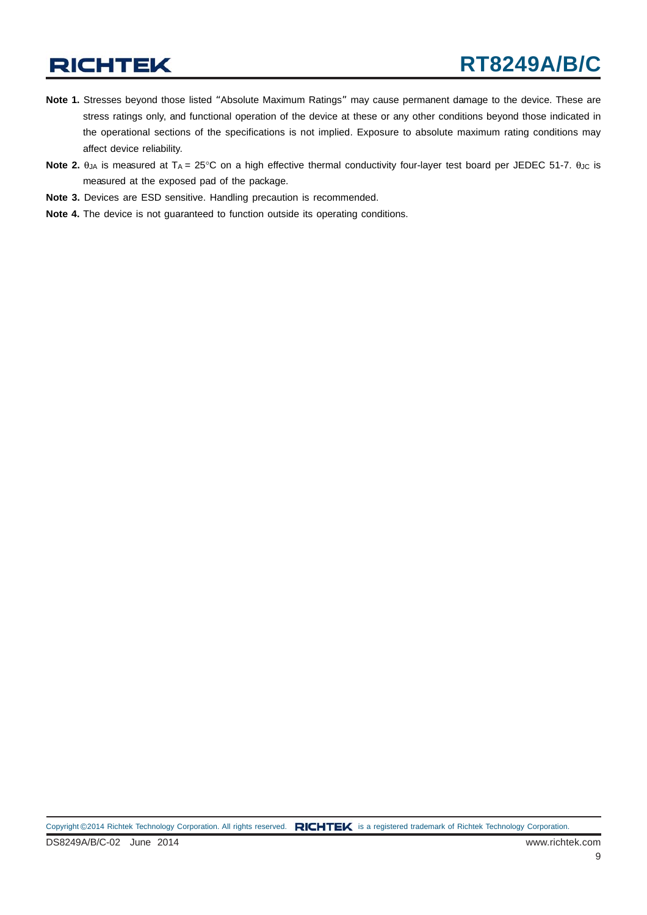- **Note 1.** Stresses beyond those listed "Absolute Maximum Ratings" may cause permanent damage to the device. These are stress ratings only, and functional operation of the device at these or any other conditions beyond those indicated in the operational sections of the specifications is not implied. Exposure to absolute maximum rating conditions may affect device reliability.
- **Note 2.** θ<sub>JA</sub> is measured at T<sub>A</sub> = 25°C on a high effective thermal conductivity four-layer test board per JEDEC 51-7. θ<sub>JC</sub> is measured at the exposed pad of the package.
- **Note 3.** Devices are ESD sensitive. Handling precaution is recommended.
- **Note 4.** The device is not guaranteed to function outside its operating conditions.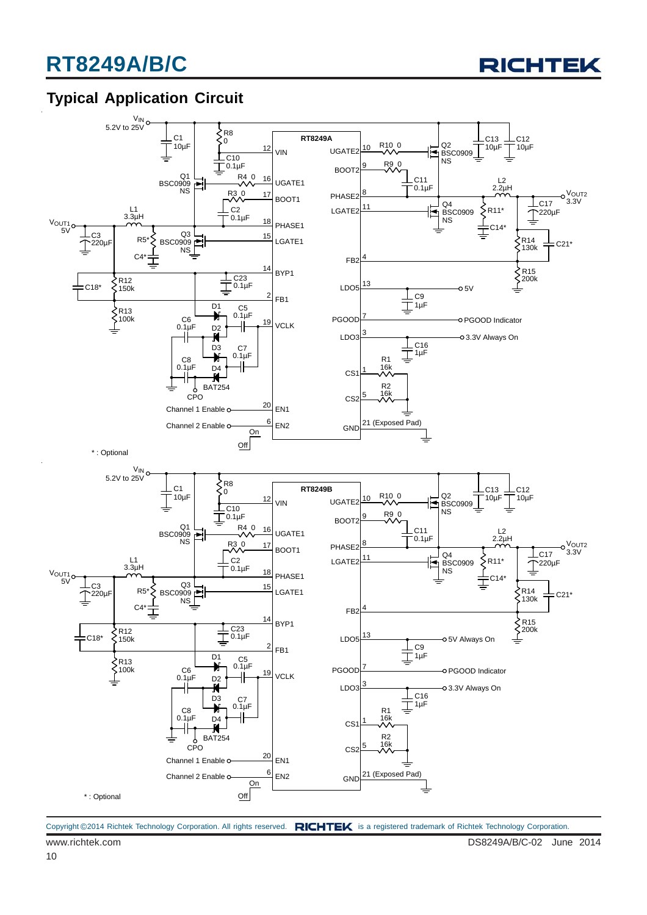

### **Typical Application Circuit**

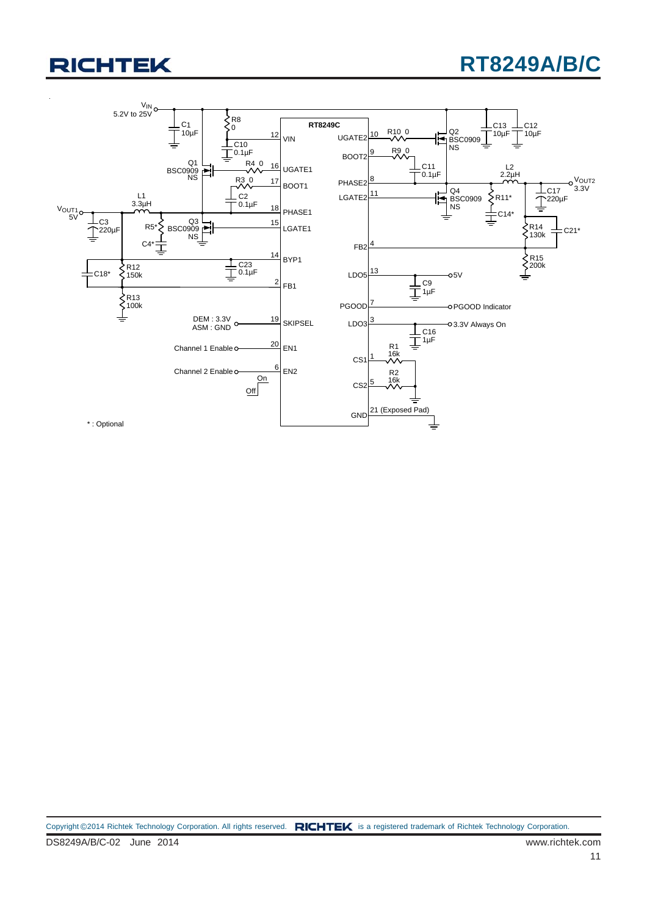## **RT8249A/B/C**

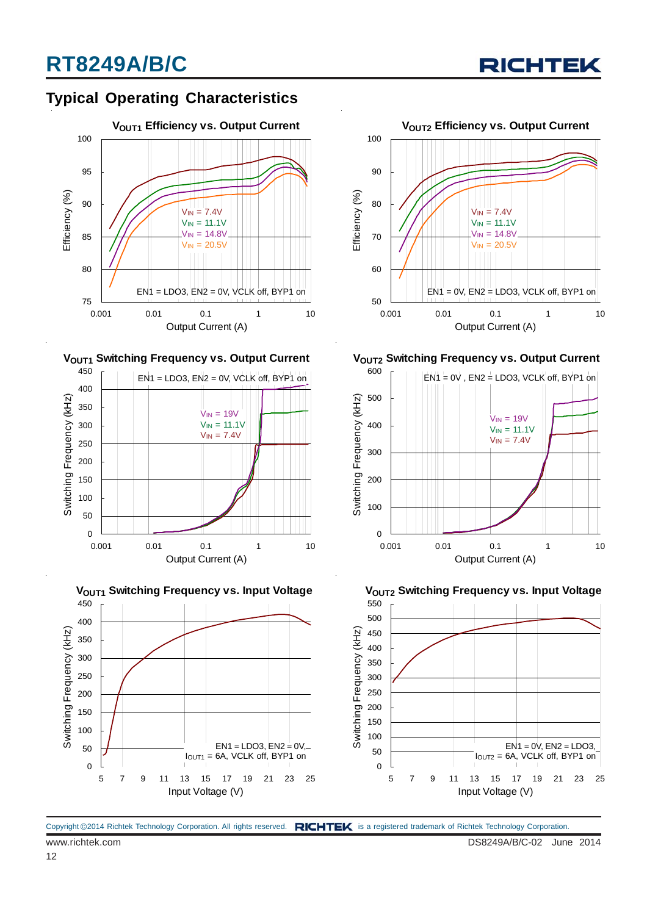

### **Typical Operating Characteristics**











**V<sub>OUT2</sub> Switching Frequency vs. Output Current** 





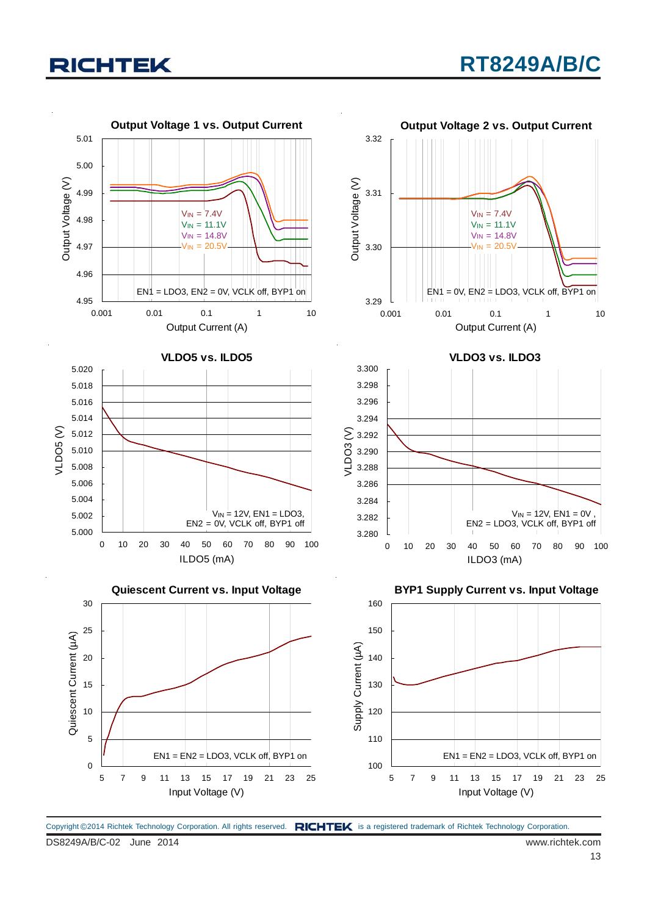

Copyright ©2014 Richtek Technology Corporation. All rights reserved. RICHTEK is a registered trademark of Richtek Technology Corporation.

DS8249A/B/C-02 June 2014 www.richtek.com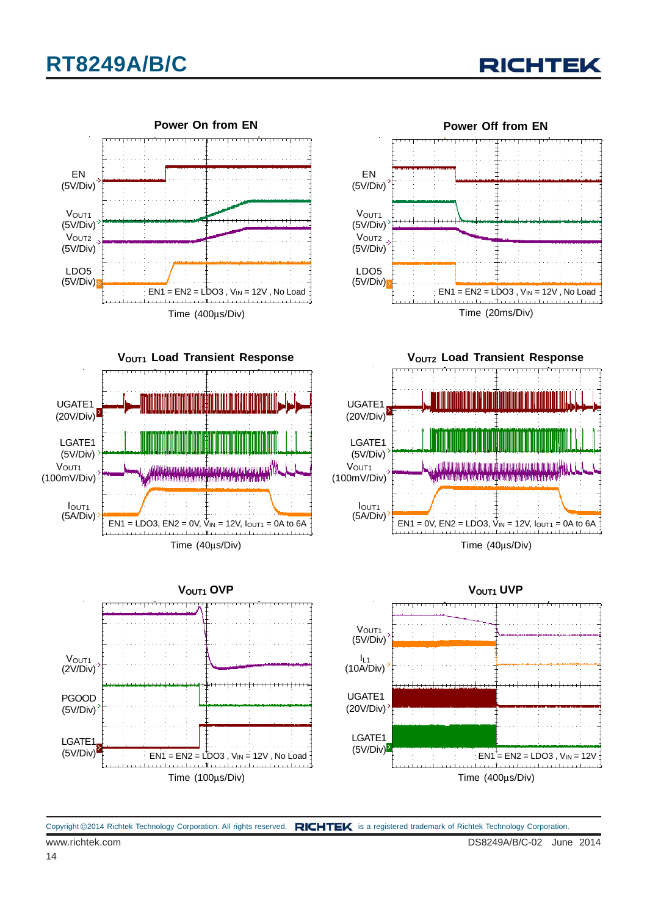

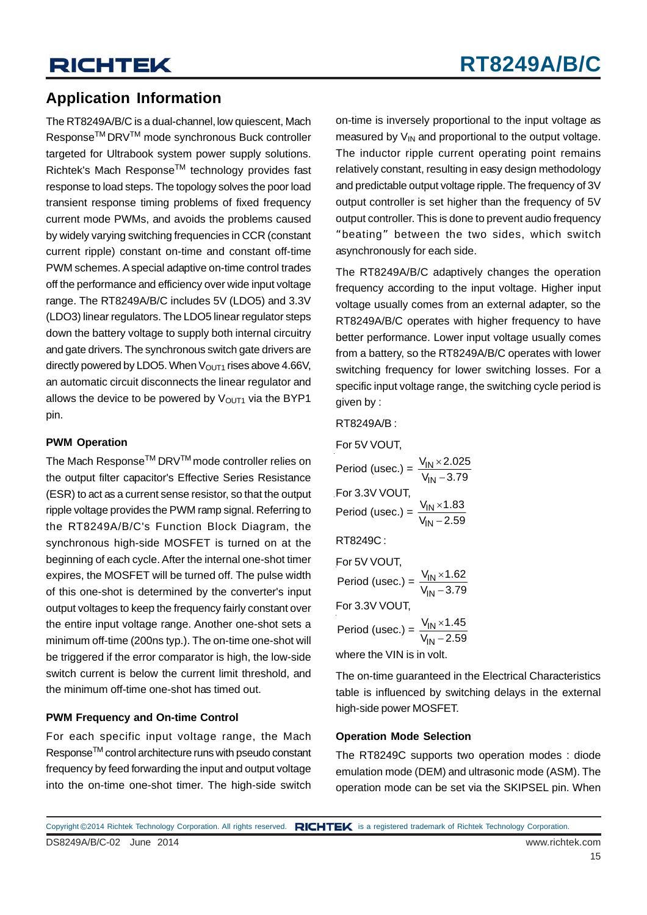### **Application Information**

The RT8249A/B/C is a dual-channel, low quiescent, Mach ResponseTM DRVTM mode synchronous Buck controller targeted for Ultrabook system power supply solutions. Richtek's Mach ResponseTM technology provides fast response to load steps. The topology solves the poor load transient response timing problems of fixed frequency current mode PWMs, and avoids the problems caused by widely varying switching frequencies in CCR (constant current ripple) constant on-time and constant off-time PWM schemes. A special adaptive on-time control trades off the performance and efficiency over wide input voltage range. The RT8249A/B/C includes 5V (LDO5) and 3.3V (LDO3) linear regulators. The LDO5 linear regulator steps down the battery voltage to supply both internal circuitry and gate drivers. The synchronous switch gate drivers are directly powered by LDO5. When  $V_{\text{OUT1}}$  rises above 4.66V, an automatic circuit disconnects the linear regulator and allows the device to be powered by  $V<sub>OUT1</sub>$  via the BYP1 pin.

#### **PWM Operation**

The Mach Response<sup>™</sup> DRV<sup>™</sup> mode controller relies on the output filter capacitor's Effective Series Resistance (ESR) to act as a current sense resistor, so that the output ripple voltage provides the PWM ramp signal. Referring to the RT8249A/B/C's Function Block Diagram, the synchronous high-side MOSFET is turned on at the beginning of each cycle. After the internal one-shot timer expires, the MOSFET will be turned off. The pulse width of this one-shot is determined by the converter's input output voltages to keep the frequency fairly constant over the entire input voltage range. Another one-shot sets a minimum off-time (200ns typ.). The on-time one-shot will be triggered if the error comparator is high, the low-side switch current is below the current limit threshold, and the minimum off-time one-shot has timed out.

### **PWM Frequency and On-time Control**

For each specific input voltage range, the Mach ResponseTM control architecture runs with pseudo constant frequency by feed forwarding the input and output voltage into the on-time one-shot timer. The high-side switch on-time is inversely proportional to the input voltage as measured by  $V_{IN}$  and proportional to the output voltage. The inductor ripple current operating point remains relatively constant, resulting in easy design methodology and predictable output voltage ripple. The frequency of 3V output controller is set higher than the frequency of 5V output controller. This is done to prevent audio frequency "beating" between the two sides, which switch asynchronously for each side.

The RT8249A/B/C adaptively changes the operation frequency according to the input voltage. Higher input voltage usually comes from an external adapter, so the RT8249A/B/C operates with higher frequency to have better performance. Lower input voltage usually comes from a battery, so the RT8249A/B/C operates with lower switching frequency for lower switching losses. For a specific input voltage range, the switching cycle period is given by :

#### RT8249A/B :

For 5V VOUT,

IN Period (usec.) =  $\frac{V_{\text{IN}} \times 2.025}{V_{\text{IN}} - 3.79}$ -For 3.3V VOUT, IN Period (usec.) =  $\frac{V_{IN} \times 1.83}{V_{IN} - 2.59}$  $\overline{a}$ 

RT8249C :

For 5V VOUT,  
\nPeriod (usec.) = 
$$
\frac{V_{IN} \times 1.62}{V_{IN} - 3.79}
$$
  
\nFor 3.3V VOUT,  
\nPeriod (usec.) =  $\frac{V_{IN} \times 1.45}{V_{IN} - 2.59}$   
\nwhere the VIN is in volt.

The on-time guaranteed in the Electrical Characteristics table is influenced by switching delays in the external high-side power MOSFET.

#### **Operation Mode Selection**

The RT8249C supports two operation modes : diode emulation mode (DEM) and ultrasonic mode (ASM). The operation mode can be set via the SKIPSEL pin. When

DS8249A/B/C-02 June 2014 www.richtek.com Copyright ©2014 Richtek Technology Corporation. All rights reserved. RICHTEK is a registered trademark of Richtek Technology Corporation.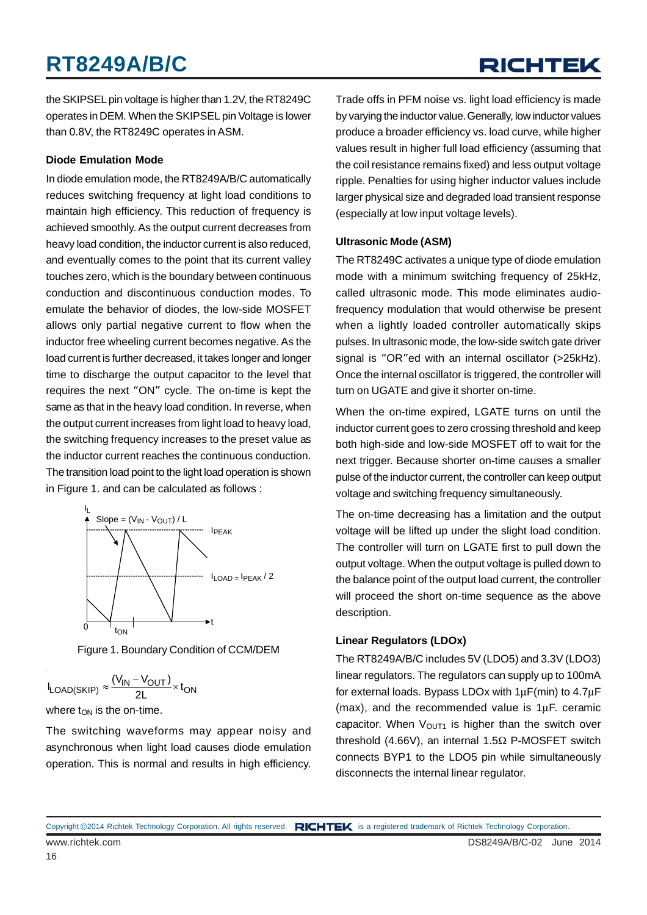## RICHTEK

the SKIPSEL pin voltage is higher than 1.2V, the RT8249C operates in DEM. When the SKIPSEL pin Voltage is lower than 0.8V, the RT8249C operates in ASM.

#### **Diode Emulation Mode**

In diode emulation mode, the RT8249A/B/C automatically reduces switching frequency at light load conditions to maintain high efficiency. This reduction of frequency is achieved smoothly. As the output current decreases from heavy load condition, the inductor current is also reduced, and eventually comes to the point that its current valley touches zero, which is the boundary between continuous conduction and discontinuous conduction modes. To emulate the behavior of diodes, the low-side MOSFET allows only partial negative current to flow when the inductor free wheeling current becomes negative. As the load current is further decreased, it takes longer and longer time to discharge the output capacitor to the level that requires the next "ON" cycle. The on-time is kept the same as that in the heavy load condition. In reverse, when the output current increases from light load to heavy load, the switching frequency increases to the preset value as the inductor current reaches the continuous conduction. The transition load point to the light load operation is shown in Figure 1. and can be calculated as follows :





$$
I_{LOAD(SKIP)} \approx \frac{(V_{IN} - V_{OUT})}{2L} \times t_{ON}
$$

where  $t_{ON}$  is the on-time.

The switching waveforms may appear noisy and asynchronous when light load causes diode emulation operation. This is normal and results in high efficiency. Trade offs in PFM noise vs. light load efficiency is made by varying the inductor value. Generally, low inductor values produce a broader efficiency vs. load curve, while higher values result in higher full load efficiency (assuming that the coil resistance remains fixed) and less output voltage ripple. Penalties for using higher inductor values include larger physical size and degraded load transient response (especially at low input voltage levels).

#### **Ultrasonic Mode (ASM)**

The RT8249C activates a unique type of diode emulation mode with a minimum switching frequency of 25kHz, called ultrasonic mode. This mode eliminates audiofrequency modulation that would otherwise be present when a lightly loaded controller automatically skips pulses. In ultrasonic mode, the low-side switch gate driver signal is "OR"ed with an internal oscillator (>25kHz). Once the internal oscillator is triggered, the controller will turn on UGATE and give it shorter on-time.

When the on-time expired, LGATE turns on until the inductor current goes to zero crossing threshold and keep both high-side and low-side MOSFET off to wait for the next trigger. Because shorter on-time causes a smaller pulse of the inductor current, the controller can keep output voltage and switching frequency simultaneously.

The on-time decreasing has a limitation and the output voltage will be lifted up under the slight load condition. The controller will turn on LGATE first to pull down the output voltage. When the output voltage is pulled down to the balance point of the output load current, the controller will proceed the short on-time sequence as the above description.

### **Linear Regulators (LDOx)**

The RT8249A/B/C includes 5V (LDO5) and 3.3V (LDO3) linear regulators. The regulators can supply up to 100mA for external loads. Bypass LDOx with 1μF(min) to 4.7μF (max), and the recommended value is 1μF. ceramic capacitor. When  $V_{\text{OUT1}}$  is higher than the switch over threshold (4.66V), an internal 1.5 $Ω$  P-MOSFET switch connects BYP1 to the LDO5 pin while simultaneously disconnects the internal linear regulator.

Copyright ©2014 Richtek Technology Corporation. All rights reserved. RICHTEK is a registered trademark of Richtek Technology Corporation.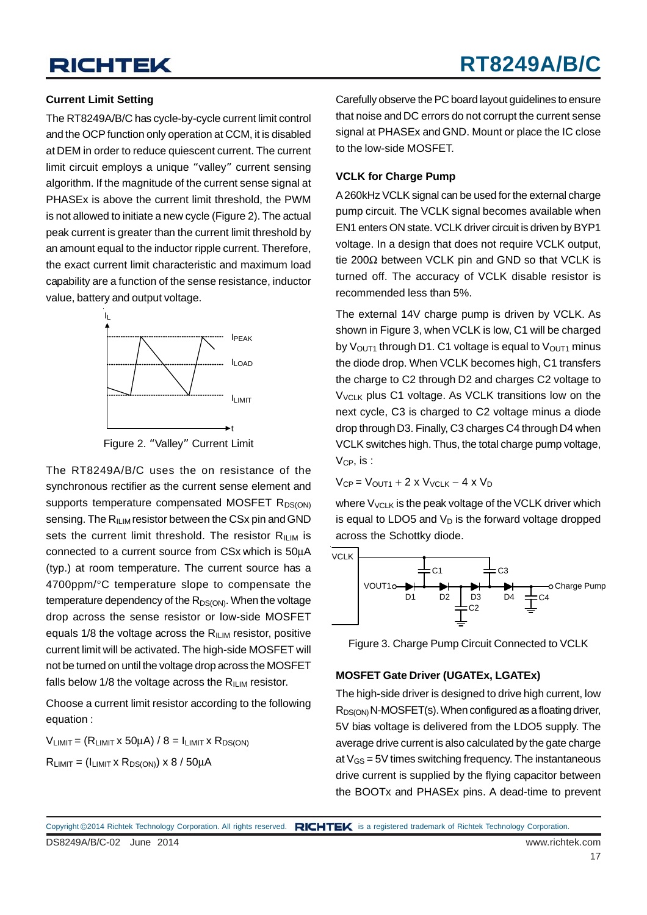#### **Current Limit Setting**

The RT8249A/B/C has cycle-by-cycle current limit control and the OCP function only operation at CCM, it is disabled at DEM in order to reduce quiescent current. The current limit circuit employs a unique "valley" current sensing algorithm. If the magnitude of the current sense signal at PHASEx is above the current limit threshold, the PWM is not allowed to initiate a new cycle (Figure 2). The actual peak current is greater than the current limit threshold by an amount equal to the inductor ripple current. Therefore, the exact current limit characteristic and maximum load capability are a function of the sense resistance, inductor value, battery and output voltage.



Figure 2. "Valley" Current Limit

The RT8249A/B/C uses the on resistance of the synchronous rectifier as the current sense element and supports temperature compensated MOSFET  $R_{DS(ON)}$ sensing. The R<sub>ILIM</sub> resistor between the CSx pin and GND sets the current limit threshold. The resistor  $R_{\text{IUM}}$  is connected to a current source from CSx which is 50μA (typ.) at room temperature. The current source has a 4700ppm/°C temperature slope to compensate the temperature dependency of the  $R_{DS(ON)}$ . When the voltage drop across the sense resistor or low-side MOSFET equals 1/8 the voltage across the  $R_{ILIM}$  resistor, positive current limit will be activated. The high-side MOSFET will not be turned on until the voltage drop across the MOSFET falls below 1/8 the voltage across the  $R_{ILM}$  resistor.

Choose a current limit resistor according to the following equation :

 $V_{LIMIT} = (R_{LIMIT} \times 50 \mu A) / 8 = I_{LIMIT} \times R_{DS(ON)}$  $R_{LIMIT} = (I_{LIMIT} \times R_{DS(ON)}) \times 8 / 50 \mu A$ 

Carefully observe the PC board layout guidelines to ensure that noise and DC errors do not corrupt the current sense signal at PHASEx and GND. Mount or place the IC close to the low-side MOSFET.

#### **VCLK for Charge Pump**

A 260kHz VCLK signal can be used for the external charge pump circuit. The VCLK signal becomes available when EN1 enters ON state. VCLK driver circuit is driven by BYP1 voltage. In a design that does not require VCLK output, tie 200Ω between VCLK pin and GND so that VCLK is turned off. The accuracy of VCLK disable resistor is recommended less than 5%.

The external 14V charge pump is driven by VCLK. As shown in Figure 3, when VCLK is low, C1 will be charged by  $V<sub>OUT1</sub>$  through D1. C1 voltage is equal to  $V<sub>OUT1</sub>$  minus the diode drop. When VCLK becomes high, C1 transfers the charge to C2 through D2 and charges C2 voltage to  $V_{\text{VCLK}}$  plus C1 voltage. As VCLK transitions low on the next cycle, C3 is charged to C2 voltage minus a diode drop through D3. Finally, C3 charges C4 through D4 when VCLK switches high. Thus, the total charge pump voltage,  $V_{CP}$ , is :

$$
V_{CP} = V_{OUT1} + 2 \times V_{VCLK} - 4 \times V_D
$$

where  $V_{\text{VCLK}}$  is the peak voltage of the VCLK driver which is equal to LDO5 and  $V_D$  is the forward voltage dropped across the Schottky diode.



Figure 3. Charge Pump Circuit Connected to VCLK

### **MOSFET Gate Driver (UGATEx, LGATEx)**

The high-side driver is designed to drive high current, low  $R_{DS(ON)}$  N-MOSFET(s). When configured as a floating driver, 5V bias voltage is delivered from the LDO5 supply. The average drive current is also calculated by the gate charge at  $V_{GS}$  = 5V times switching frequency. The instantaneous drive current is supplied by the flying capacitor between the BOOTx and PHASEx pins. A dead-time to prevent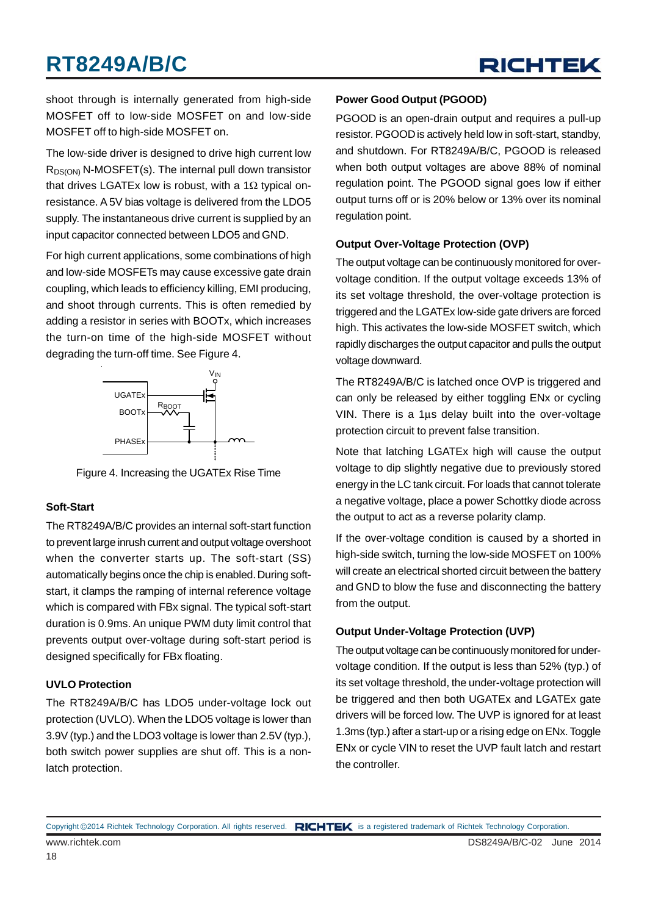

shoot through is internally generated from high-side MOSFET off to low-side MOSFET on and low-side MOSFET off to high-side MOSFET on.

The low-side driver is designed to drive high current low  $R_{DS(ON)}$  N-MOSFET(s). The internal pull down transistor that drives LGATEx low is robust, with a 1Ω typical onresistance. A 5V bias voltage is delivered from the LDO5 supply. The instantaneous drive current is supplied by an input capacitor connected between LDO5 and GND.

For high current applications, some combinations of high and low-side MOSFETs may cause excessive gate drain coupling, which leads to efficiency killing, EMI producing, and shoot through currents. This is often remedied by adding a resistor in series with BOOTx, which increases the turn-on time of the high-side MOSFET without degrading the turn-off time. See Figure 4.



Figure 4. Increasing the UGATEx Rise Time

#### **Soft-Start**

The RT8249A/B/C provides an internal soft-start function to prevent large inrush current and output voltage overshoot when the converter starts up. The soft-start (SS) automatically begins once the chip is enabled. During softstart, it clamps the ramping of internal reference voltage which is compared with FBx signal. The typical soft-start duration is 0.9ms. An unique PWM duty limit control that prevents output over-voltage during soft-start period is designed specifically for FBx floating.

### **UVLO Protection**

The RT8249A/B/C has LDO5 under-voltage lock out protection (UVLO). When the LDO5 voltage is lower than 3.9V (typ.) and the LDO3 voltage is lower than 2.5V (typ.), both switch power supplies are shut off. This is a nonlatch protection.

#### **Power Good Output (PGOOD)**

PGOOD is an open-drain output and requires a pull-up resistor. PGOOD is actively held low in soft-start, standby, and shutdown. For RT8249A/B/C, PGOOD is released when both output voltages are above 88% of nominal regulation point. The PGOOD signal goes low if either output turns off or is 20% below or 13% over its nominal regulation point.

#### **Output Over-Voltage Protection (OVP)**

The output voltage can be continuously monitored for overvoltage condition. If the output voltage exceeds 13% of its set voltage threshold, the over-voltage protection is triggered and the LGATEx low-side gate drivers are forced high. This activates the low-side MOSFET switch, which rapidly discharges the output capacitor and pulls the output voltage downward.

The RT8249A/B/C is latched once OVP is triggered and can only be released by either toggling ENx or cycling VIN. There is a 1μs delay built into the over-voltage protection circuit to prevent false transition.

Note that latching LGATEx high will cause the output voltage to dip slightly negative due to previously stored energy in the LC tank circuit. For loads that cannot tolerate a negative voltage, place a power Schottky diode across the output to act as a reverse polarity clamp.

If the over-voltage condition is caused by a shorted in high-side switch, turning the low-side MOSFET on 100% will create an electrical shorted circuit between the battery and GND to blow the fuse and disconnecting the battery from the output.

### **Output Under-Voltage Protection (UVP)**

The output voltage can be continuously monitored for undervoltage condition. If the output is less than 52% (typ.) of its set voltage threshold, the under-voltage protection will be triggered and then both UGATEx and LGATEx gate drivers will be forced low. The UVP is ignored for at least 1.3ms (typ.) after a start-up or a rising edge on ENx. Toggle ENx or cycle VIN to reset the UVP fault latch and restart the controller.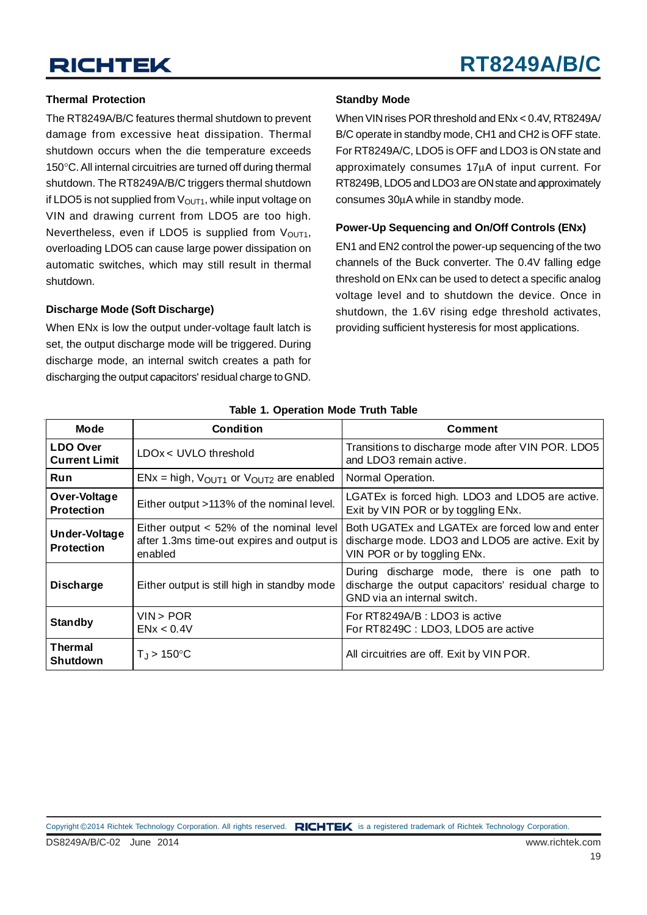#### **Thermal Protection**

The RT8249A/B/C features thermal shutdown to prevent damage from excessive heat dissipation. Thermal shutdown occurs when the die temperature exceeds 150°C. All internal circuitries are turned off during thermal shutdown. The RT8249A/B/C triggers thermal shutdown if LDO5 is not supplied from  $V<sub>OUT1</sub>$ , while input voltage on VIN and drawing current from LDO5 are too high. Nevertheless, even if LDO5 is supplied from  $V_{\text{OUT1}}$ , overloading LDO5 can cause large power dissipation on automatic switches, which may still result in thermal shutdown.

### **Discharge Mode (Soft Discharge)**

When ENx is low the output under-voltage fault latch is set, the output discharge mode will be triggered. During discharge mode, an internal switch creates a path for discharging the output capacitors' residual charge to GND.

#### **Standby Mode**

When VIN rises POR threshold and ENx < 0.4V, RT8249A/ B/C operate in standby mode, CH1 and CH2 is OFF state. For RT8249A/C, LDO5 is OFF and LDO3 is ON state and approximately consumes 17μA of input current. For RT8249B, LDO5 and LDO3 are ON state and approximately consumes 30μA while in standby mode.

#### **Power-Up Sequencing and On/Off Controls (ENx)**

EN1 and EN2 control the power-up sequencing of the two channels of the Buck converter. The 0.4V falling edge threshold on ENx can be used to detect a specific analog voltage level and to shutdown the device. Once in shutdown, the 1.6V rising edge threshold activates, providing sufficient hysteresis for most applications.

| Mode                                      | Condition                                                                                           | <b>Comment</b>                                                                                                                      |
|-------------------------------------------|-----------------------------------------------------------------------------------------------------|-------------------------------------------------------------------------------------------------------------------------------------|
| <b>LDO Over</b><br><b>Current Limit</b>   | $LDOx < UVLO$ threshold                                                                             | Transitions to discharge mode after VIN POR. LDO5<br>and LDO3 remain active.                                                        |
| Run                                       | $ENx = high$ , $V_{OUT1}$ or $V_{OUT2}$ are enabled                                                 | Normal Operation.                                                                                                                   |
| Over-Voltage<br><b>Protection</b>         | Either output >113% of the nominal level.                                                           | LGATEx is forced high. LDO3 and LDO5 are active.<br>Exit by VIN POR or by toggling ENx.                                             |
| <b>Under-Voltage</b><br><b>Protection</b> | Either output $<$ 52% of the nominal level<br>after 1.3ms time-out expires and output is<br>enabled | Both UGATEx and LGATEx are forced low and enter<br>discharge mode. LDO3 and LDO5 are active. Exit by<br>VIN POR or by toggling ENx. |
| <b>Discharge</b>                          | Either output is still high in standby mode                                                         | During discharge mode, there is one path to<br>discharge the output capacitors' residual charge to<br>GND via an internal switch.   |
| <b>Standby</b>                            | VIN > POR<br>ENx < 0.4V                                                                             | For RT8249A/B : LDO3 is active<br>For RT8249C : LDO3, LDO5 are active                                                               |
| <b>Thermal</b><br><b>Shutdown</b>         | $T_J$ > 150 $\degree$ C                                                                             | All circuitries are off. Exit by VIN POR.                                                                                           |

#### **Table 1. Operation Mode Truth Table**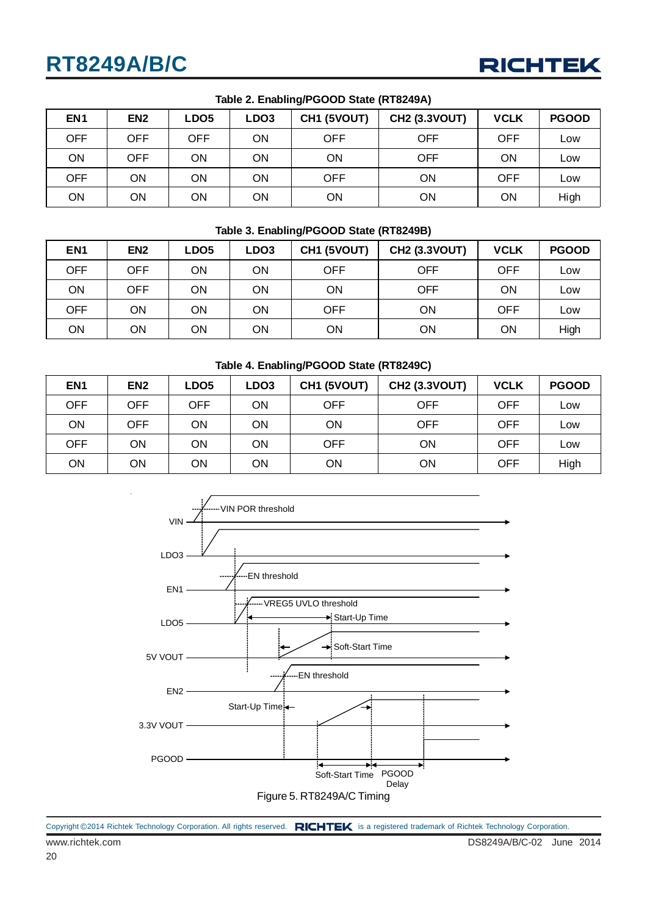

| EN <sub>1</sub> | EN <sub>2</sub> | LDO <sub>5</sub> | LDO <sub>3</sub> | CH1 (5VOUT) | <b>CH2 (3.3VOUT)</b> | <b>VCLK</b> | <b>PGOOD</b> |  |
|-----------------|-----------------|------------------|------------------|-------------|----------------------|-------------|--------------|--|
| <b>OFF</b>      | OFF             | OFF              | ON               | <b>OFF</b>  | OFF                  | OFF         | Low          |  |
| <b>ON</b>       | OFF             | ΟN               | ON               | ON          | <b>OFF</b>           | ΟN          | Low          |  |
| <b>OFF</b>      | ΟN              | ΟN               | ON               | <b>OFF</b>  | ON                   | <b>OFF</b>  | Low          |  |
| <b>ON</b>       | ΟN              | ΟN               | ON               | ON          | ON                   | ON          | High         |  |

#### **Table 2. Enabling/PGOOD State (RT8249A)**

#### **Table 3. Enabling/PGOOD State (RT8249B)**

| EN <sub>1</sub> | EN <sub>2</sub> | LDO <sub>5</sub> | LDO <sub>3</sub> | CH1 (5VOUT) | <b>CH2 (3.3VOUT)</b> | <b>VCLK</b> | <b>PGOOD</b> |
|-----------------|-----------------|------------------|------------------|-------------|----------------------|-------------|--------------|
| <b>OFF</b>      | <b>OFF</b>      | ON               | <b>ON</b>        | <b>OFF</b>  | <b>OFF</b>           | OFF         | Low          |
| ON              | OFF             | ON               | <b>ON</b>        | ON          | <b>OFF</b>           | ON          | Low          |
| <b>OFF</b>      | ΟN              | ON               | <b>ON</b>        | <b>OFF</b>  | ON                   | OFF         | Low          |
| ON              | ΟN              | ΟN               | ON               | ON          | ON                   | ON          | High         |

#### **Table 4. Enabling/PGOOD State (RT8249C)**

| EN <sub>1</sub> | EN <sub>2</sub> | LDO <sub>5</sub> | LDO <sub>3</sub> | CH1 (5VOUT) | <b>CH2 (3.3VOUT)</b> | <b>VCLK</b> | <b>PGOOD</b> |
|-----------------|-----------------|------------------|------------------|-------------|----------------------|-------------|--------------|
| <b>OFF</b>      | OFF             | OFF              | ΟN               | OFF         | <b>OFF</b>           | <b>OFF</b>  | Low          |
| ON              | OFF             | ΟN               | ΟN               | ON          | <b>OFF</b>           | OFF         | Low          |
| <b>OFF</b>      | ΟN              | ΟN               | ΟN               | OFF         | ON                   | OFF         | Low          |
| ΟN              | ΟN              | ΟN               | ΟN               | ON          | ON                   | OFF         | High         |

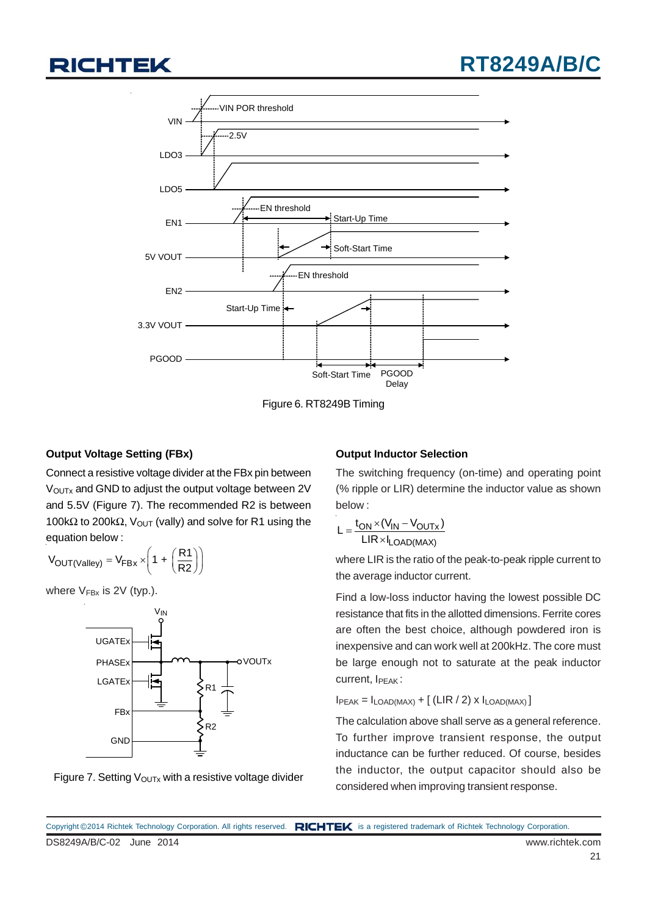

Figure 6. RT8249B Timing

### **Output Voltage Setting (FBx)**

Connect a resistive voltage divider at the FBx pin between  $V<sub>OUTX</sub>$  and GND to adjust the output voltage between 2V and 5.5V (Figure 7). The recommended R2 is between 100kΩ to 200kΩ, V<sub>OUT</sub> (vally) and solve for R1 using the equation below :

$$
V_{OUT(Valley)} = V_{FBx} \times \left(1 + \left(\frac{R1}{R2}\right)\right)
$$

where  $V_{\text{FBx}}$  is 2V (typ.).



Figure 7. Setting  $V_{\text{OUTx}}$  with a resistive voltage divider

### **Output Inductor Selection**

The switching frequency (on-time) and operating point (% ripple or LIR) determine the inductor value as shown below :

$$
L = \frac{t_{ON} \times (V_{IN} - V_{OUTx})}{LIR \times I_{LOAD(MAX)}}
$$

where LIR is the ratio of the peak-to-peak ripple current to the average inductor current.

Find a low-loss inductor having the lowest possible DC resistance that fits in the allotted dimensions. Ferrite cores are often the best choice, although powdered iron is inexpensive and can work well at 200kHz. The core must be large enough not to saturate at the peak inductor current, I<sub>PFAK</sub>:

 $I_{PEAK} = I_{LOAD(MAX)} + [ (LIR / 2) \times I_{LOAD(MAX)} ]$ 

The calculation above shall serve as a general reference. To further improve transient response, the output inductance can be further reduced. Of course, besides the inductor, the output capacitor should also be considered when improving transient response.

DS8249A/B/C-02 June 2014 www.richtek.com Copyright ©2014 Richtek Technology Corporation. All rights reserved. RICHTEK is a registered trademark of Richtek Technology Corporation.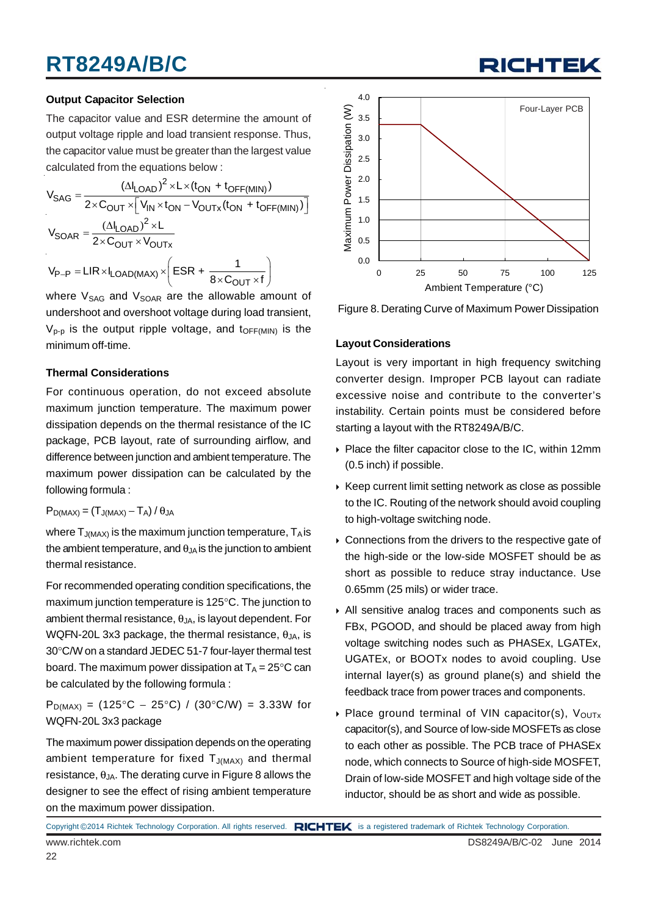### **Output Capacitor Selection**

The capacitor value and ESR determine the amount of output voltage ripple and load transient response. Thus, the capacitor value must be greater than the largest value calculated from the equations below :

$$
V_{SAG} = \frac{(\Delta I_{LOAD})^2 \times L \times (t_{ON} + t_{OFF(MIN)})}{2 \times C_{OUT} \times [V_{IN} \times t_{ON} - V_{OUT} \times (t_{ON} + t_{OFF(MIN)})]}
$$
  

$$
V_{SOAR} = \frac{(\Delta I_{LOAD})^2 \times L}{2 \times C_{OUT} \times V_{OUTx}}
$$
  

$$
V_{P-P} = LIR \times I_{LOAD(MAX)} \times (ESR + \frac{1}{8 \times C_{OUT} \times f})
$$

where V<sub>SAG</sub> and V<sub>SOAR</sub> are the allowable amount of undershoot and overshoot voltage during load transient,  $V_{p-p}$  is the output ripple voltage, and t<sub>OFF(MIN)</sub> is the minimum off-time.

#### **Thermal Considerations**

For continuous operation, do not exceed absolute maximum junction temperature. The maximum power dissipation depends on the thermal resistance of the IC package, PCB layout, rate of surrounding airflow, and difference between junction and ambient temperature. The maximum power dissipation can be calculated by the following formula :

 $P_{D(MAX)} = (T_{J(MAX)} - T_A) / \theta_{JA}$ 

where  $T_{J(MAX)}$  is the maximum junction temperature,  $T_A$  is the ambient temperature, and  $\theta_{JA}$  is the junction to ambient thermal resistance.

For recommended operating condition specifications, the maximum junction temperature is 125°C. The junction to ambient thermal resistance,  $\theta_{JA}$ , is layout dependent. For WQFN-20L 3x3 package, the thermal resistance,  $\theta_{JA}$ , is 30°C/W on a standard JEDEC 51-7 four-layer thermal test board. The maximum power dissipation at  $T_A = 25^{\circ}C$  can be calculated by the following formula :

 $P_{D(MAX)} = (125\degree C - 25\degree C) / (30\degree C/W) = 3.33W$  for WQFN-20L 3x3 package

The maximum power dissipation depends on the operating ambient temperature for fixed  $T_{J(MAX)}$  and thermal resistance,  $\theta_{JA}$ . The derating curve in Figure 8 allows the designer to see the effect of rising ambient temperature on the maximum power dissipation.





#### **Layout Considerations**

Layout is very important in high frequency switching converter design. Improper PCB layout can radiate excessive noise and contribute to the converter's instability. Certain points must be considered before starting a layout with the RT8249A/B/C.

- ▶ Place the filter capacitor close to the IC, within 12mm (0.5 inch) if possible.
- $\rightarrow$  Keep current limit setting network as close as possible to the IC. Routing of the network should avoid coupling to high-voltage switching node.
- Connections from the drivers to the respective gate of the high-side or the low-side MOSFET should be as short as possible to reduce stray inductance. Use 0.65mm (25 mils) or wider trace.
- All sensitive analog traces and components such as FBx, PGOOD, and should be placed away from high voltage switching nodes such as PHASEx, LGATEx, UGATEx, or BOOTx nodes to avoid coupling. Use internal layer(s) as ground plane(s) and shield the feedback trace from power traces and components.
- $\triangleright$  Place ground terminal of VIN capacitor(s),  $V_{\text{OUTx}}$ capacitor(s), and Source of low-side MOSFETs as close to each other as possible. The PCB trace of PHASEx node, which connects to Source of high-side MOSFET, Drain of low-side MOSFET and high voltage side of the inductor, should be as short and wide as possible.





Copyright ©2014 Richtek Technology Corporation. All rights reserved. RICHTEK is a registered trademark of Richtek Technology Corporation.